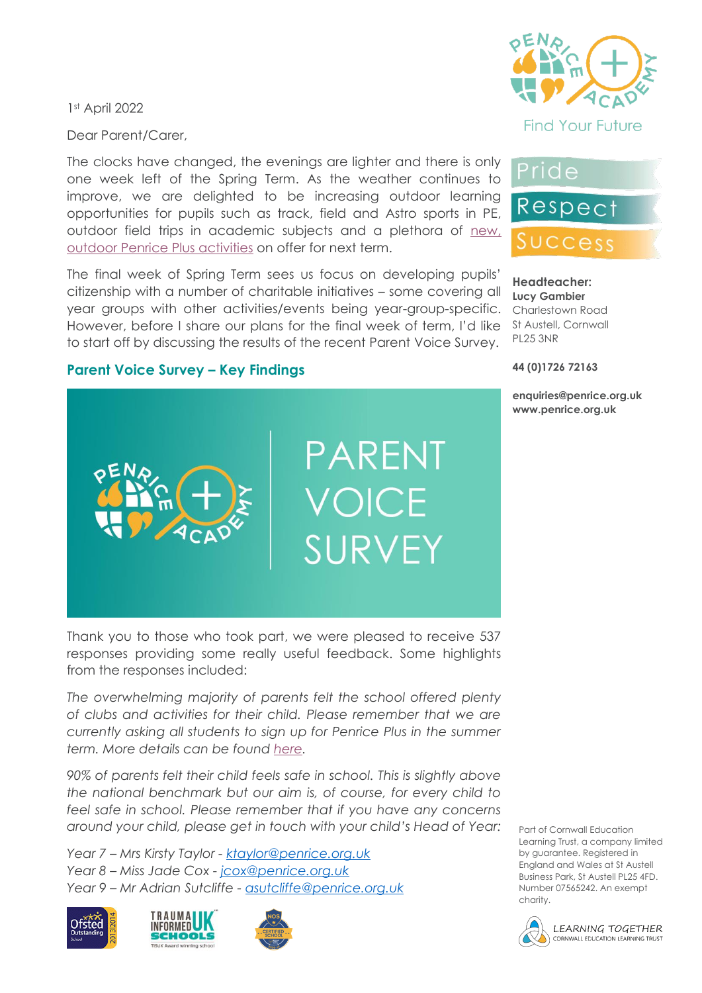1st April 2022

Dear Parent/Carer,

The clocks have changed, the evenings are lighter and there is only one week left of the Spring Term. As the weather continues to improve, we are delighted to be increasing outdoor learning opportunities for pupils such as track, field and Astro sports in PE, outdoor field trips in academic subjects and a plethora of [new,](https://www.penriceacademy.org/penrice-plus/)  [outdoor Penrice Plus activities](https://www.penriceacademy.org/penrice-plus/) on offer for next term.

The final week of Spring Term sees us focus on developing pupils' citizenship with a number of charitable initiatives – some covering all year groups with other activities/events being year-group-specific. However, before I share our plans for the final week of term, I'd like to start off by discussing the results of the recent Parent Voice Survey.



**Find Your Future** 



**Headteacher: Lucy Gambier** Charlestown Road St Austell, Cornwall PL25 3NR

**44 (0)1726 72163**

**enquiries@penrice.org.uk www.penrice.org.uk**

## **Parent Voice Survey – Key Findings**



Thank you to those who took part, we were pleased to receive 537 responses providing some really useful feedback. Some highlights from the responses included:

*The overwhelming majority of parents felt the school offered plenty of clubs and activities for their child. Please remember that we are currently asking all students to sign up for Penrice Plus in the summer term. More details can be found [here.](https://www.penriceacademy.org/penrice-plus/)* 

*90% of parents felt their child feels safe in school. This is slightly above the national benchmark but our aim is, of course, for every child to feel safe in school. Please remember that if you have any concerns around your child, please get in touch with your child's Head of Year:*

*Year 7 – Mrs Kirsty Taylor - [ktaylor@penrice.org.uk](mailto:ktaylor@penrice.org.uk) Year 8 – Miss Jade Cox - [jcox@penrice.org.uk](mailto:jcox@penrice.org.uk) Year 9 – Mr Adrian Sutcliffe - [asutcliffe@penrice.org.uk](mailto:asutcliffe@penrice.org.uk)*







Part of Cornwall Education Learning Trust, a company limited by guarantee. Registered in England and Wales at St Austell Business Park, St Austell PL25 4FD. Number 07565242. An exempt charity.

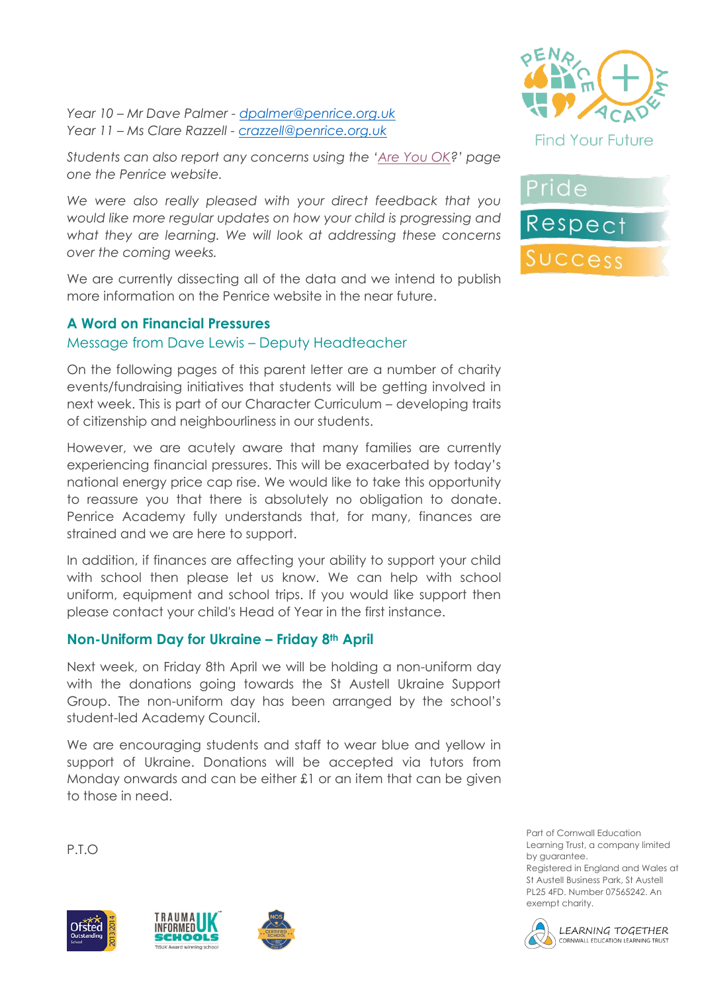*Year 10 – Mr Dave Palmer - [dpalmer@penrice.org.uk](mailto:dpalmer@penrice.org.uk) Year 11 – Ms Clare Razzell - [crazzell@penrice.org.uk](mailto:crazzell@penrice.org.uk)*

*Students can also report any concerns using the '[Are You OK?](https://www.penriceacademy.org/ok/)' page one the Penrice website.*

*We were also really pleased with your direct feedback that you would like more regular updates on how your child is progressing and what they are learning. We will look at addressing these concerns over the coming weeks.*

We are currently dissecting all of the data and we intend to publish more information on the Penrice website in the near future.

## **A Word on Financial Pressures**

## Message from Dave Lewis – Deputy Headteacher

On the following pages of this parent letter are a number of charity events/fundraising initiatives that students will be getting involved in next week. This is part of our Character Curriculum – developing traits of citizenship and neighbourliness in our students.

However, we are acutely aware that many families are currently experiencing financial pressures. This will be exacerbated by today's national energy price cap rise. We would like to take this opportunity to reassure you that there is absolutely no obligation to donate. Penrice Academy fully understands that, for many, finances are strained and we are here to support.

In addition, if finances are affecting your ability to support your child with school then please let us know. We can help with school uniform, equipment and school trips. If you would like support then please contact your child's Head of Year in the first instance.

## **Non-Uniform Day for Ukraine – Friday 8th April**

Next week, on Friday 8th April we will be holding a non-uniform day with the donations going towards the St Austell Ukraine Support Group. The non-uniform day has been arranged by the school's student-led Academy Council.

We are encouraging students and staff to wear blue and yellow in support of Ukraine. Donations will be accepted via tutors from Monday onwards and can be either £1 or an item that can be given to those in need.

P.T.O











Part of Cornwall Education Learning Trust, a company limited by guarantee. Registered in England and Wales at

St Austell Business Park, St Austell PL25 4FD. Number 07565242. An exempt charity.

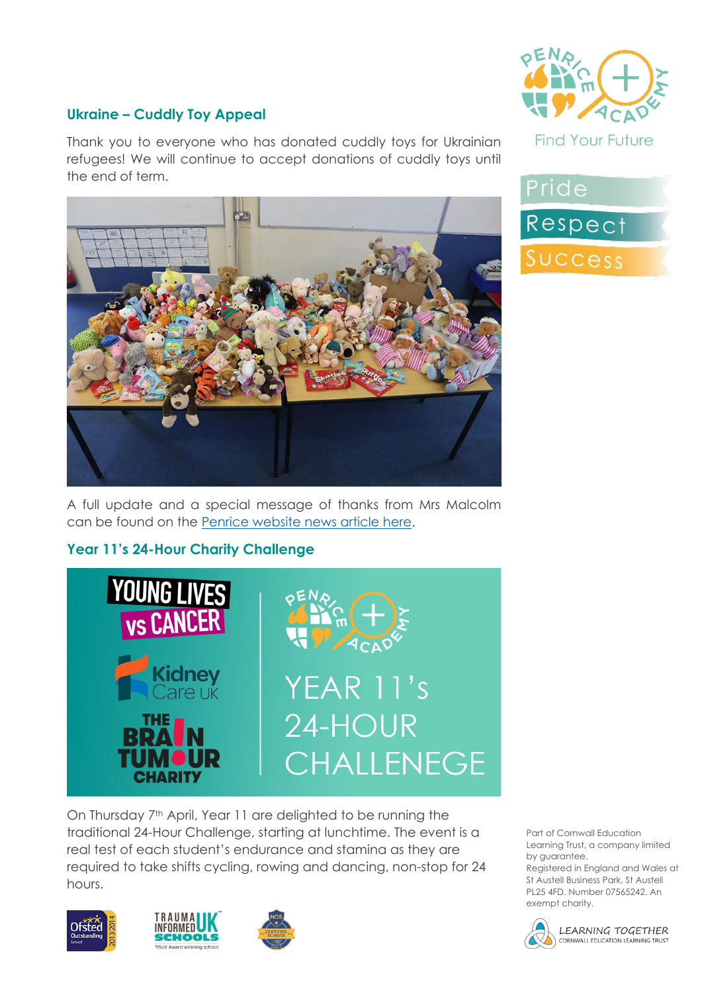

# **Ukraine – Cuddly Toy Appeal**

Thank you to everyone who has donated cuddly toys for Ukrainian refugees! We will continue to accept donations of cuddly toys until the end of term.



A full update and a special message of thanks from Mrs Malcolm can be found on the [Penrice website news article here.](https://www.penriceacademy.org/cuddly-toys-for-ukraine/)

# **Year 11's 24-Hour Charity Challenge**



On Thursday 7<sup>th</sup> April, Year 11 are delighted to be running the traditional 24-Hour Challenge, starting at lunchtime. The event is a real test of each student's endurance and stamina as they are required to take shifts cycling, rowing and dancing, non-stop for 24 hours.







Pride Respect Success

Part of Cornwall Education Learning Trust, a company limited by guarantee.

Registered in England and Wales at St Austell Business Park, St Austell PL25 4FD. Number 07565242. An exempt charity.



LEARNING TOGETHER CORNWALL EDUCATION LEARNING TRUST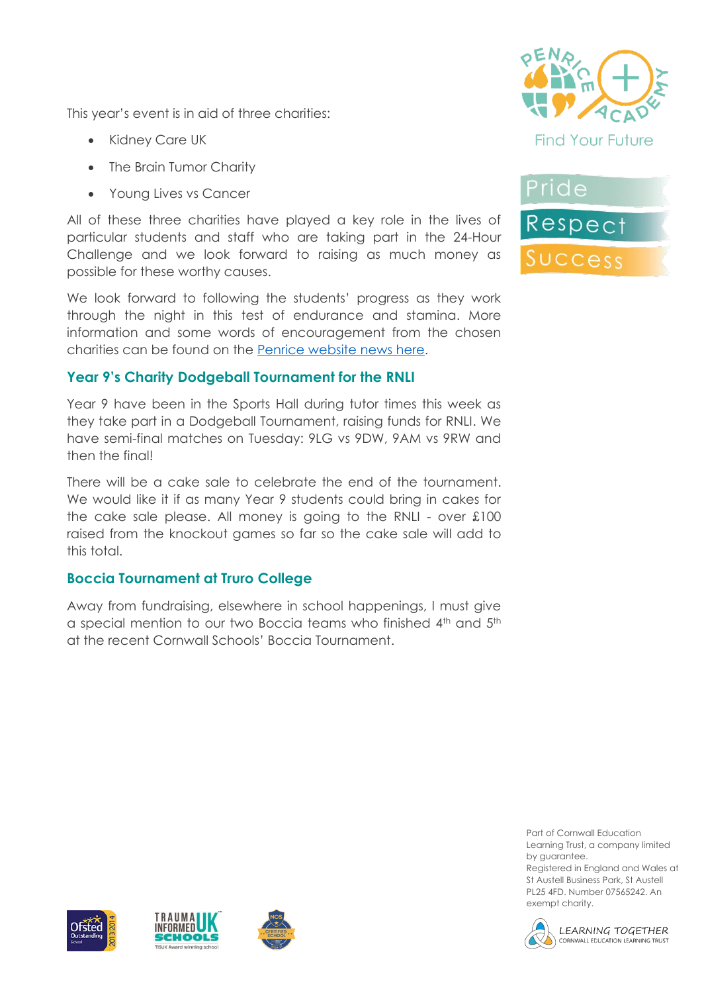This year's event is in aid of three charities:

- Kidney Care UK
- The Brain Tumor Charity
- Young Lives vs Cancer

All of these three charities have played a key role in the lives of particular students and staff who are taking part in the 24-Hour Challenge and we look forward to raising as much money as possible for these worthy causes.

We look forward to following the students' progress as they work through the night in this test of endurance and stamina. More information and some words of encouragement from the chosen charities can be found on the [Penrice website](https://www.penriceacademy.org/24-hour-challenge-2022/) news here.

# **Year 9's Charity Dodgeball Tournament for the RNLI**

Year 9 have been in the Sports Hall during tutor times this week as they take part in a Dodgeball Tournament, raising funds for RNLI. We have semi-final matches on Tuesday: 9LG vs 9DW, 9AM vs 9RW and then the final!

There will be a cake sale to celebrate the end of the tournament. We would like it if as many Year 9 students could bring in cakes for the cake sale please. All money is going to the RNLI - over £100 raised from the knockout games so far so the cake sale will add to this total.

## **Boccia Tournament at Truro College**

Away from fundraising, elsewhere in school happenings, I must give a special mention to our two Boccia teams who finished 4th and 5th at the recent Cornwall Schools' Boccia Tournament.





Part of Cornwall Education Learning Trust, a company limited by guarantee.

Registered in England and Wales at St Austell Business Park, St Austell PL25 4FD. Number 07565242. An exempt charity.







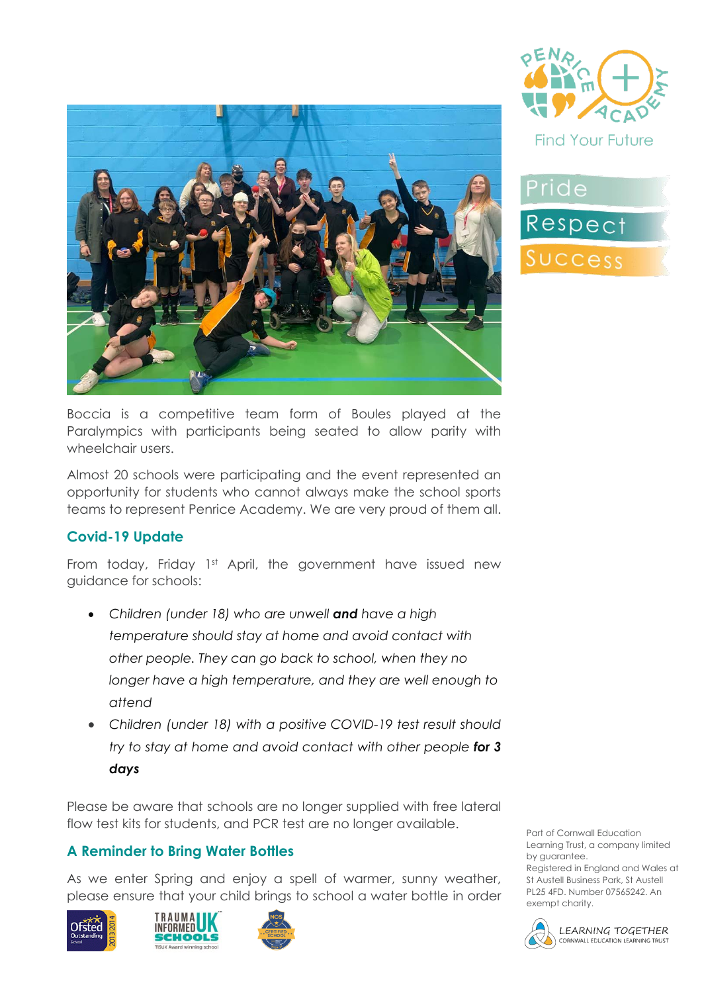



Pride Respect Success

Boccia is a competitive team form of Boules played at the Paralympics with participants being seated to allow parity with wheelchair users.

Almost 20 schools were participating and the event represented an opportunity for students who cannot always make the school sports teams to represent Penrice Academy. We are very proud of them all.

## **Covid-19 Update**

From today, Friday 1st April, the government have issued new guidance for schools:

- *Children (under 18) who are unwell and have a high temperature should stay at home and avoid contact with other people. They can go back to school, when they no longer have a high temperature, and they are well enough to attend*
- *Children (under 18) with a positive COVID-19 test result should try to stay at home and avoid contact with other people for 3 days*

Please be aware that schools are no longer supplied with free lateral flow test kits for students, and PCR test are no longer available.

# **A Reminder to Bring Water Bottles**

As we enter Spring and enjoy a spell of warmer, sunny weather, please ensure that your child brings to school a water bottle in order







Part of Cornwall Education Learning Trust, a company limited by guarantee. Registered in England and Wales at St Austell Business Park, St Austell PL25 4FD. Number 07565242. An

exempt charity.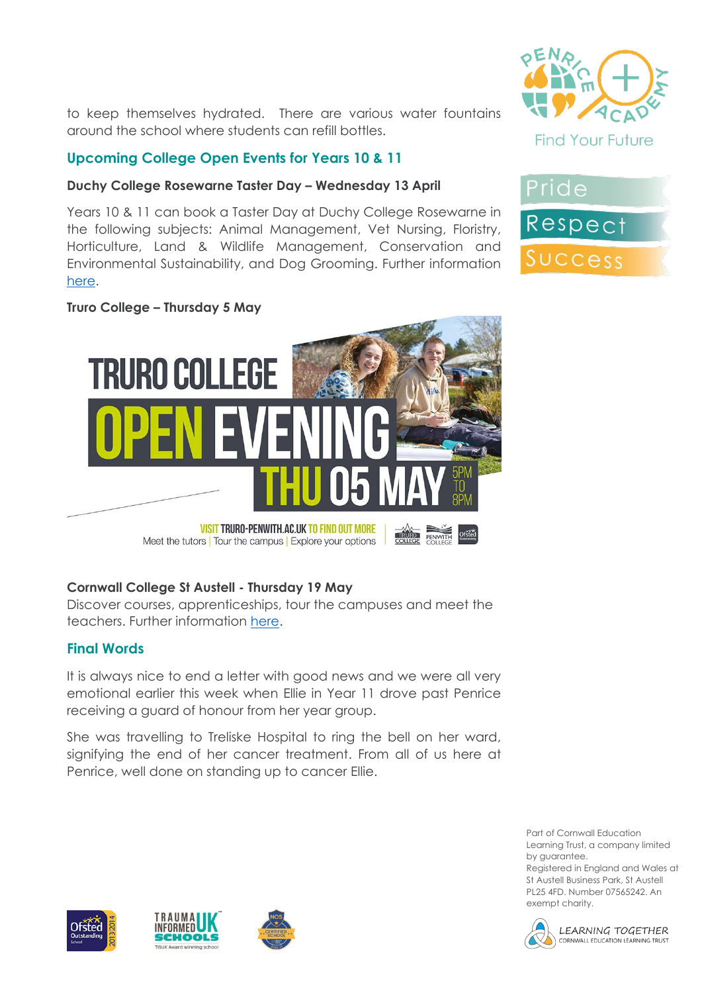to keep themselves hydrated. There are various water fountains around the school where students can refill bottles.

## **Upcoming College Open Events for Years 10 & 11**

#### **Duchy College Rosewarne Taster Day – Wednesday 13 April**

Years 10 & 11 can book a Taster Day at Duchy College Rosewarne in the following subjects: Animal Management, Vet Nursing, Floristry, Horticulture, Land & Wildlife Management, Conservation and Environmental Sustainability, and Dog Grooming. Further information [here.](https://www.duchy.ac.uk/events/taster-day-at-duchy-college-rosewarne/)

#### **Truro College – Thursday 5 May**

**TRURO COLLEGE** 

**VISIT TRURO-PENWITH.AC.UK TO FIND OUT MORE** Meet the tutors | Tour the campus | Explore your options

## **Cornwall College St Austell - Thursday 19 May**

Discover courses, apprenticeships, tour the campuses and meet the teachers. Further information [here.](https://www.cornwall.ac.uk/events/open-event-at-cornwall-college-st-austell/)

**COLLEGE** PENWITH

#### **Final Words**

It is always nice to end a letter with good news and we were all very emotional earlier this week when Ellie in Year 11 drove past Penrice receiving a guard of honour from her year group.

She was travelling to Treliske Hospital to ring the bell on her ward, signifying the end of her cancer treatment. From all of us here at Penrice, well done on standing up to cancer Ellie.

> Part of Cornwall Education Learning Trust, a company limited by guarantee.

Registered in England and Wales at St Austell Business Park, St Austell PL25 4FD. Number 07565242. An exempt charity.